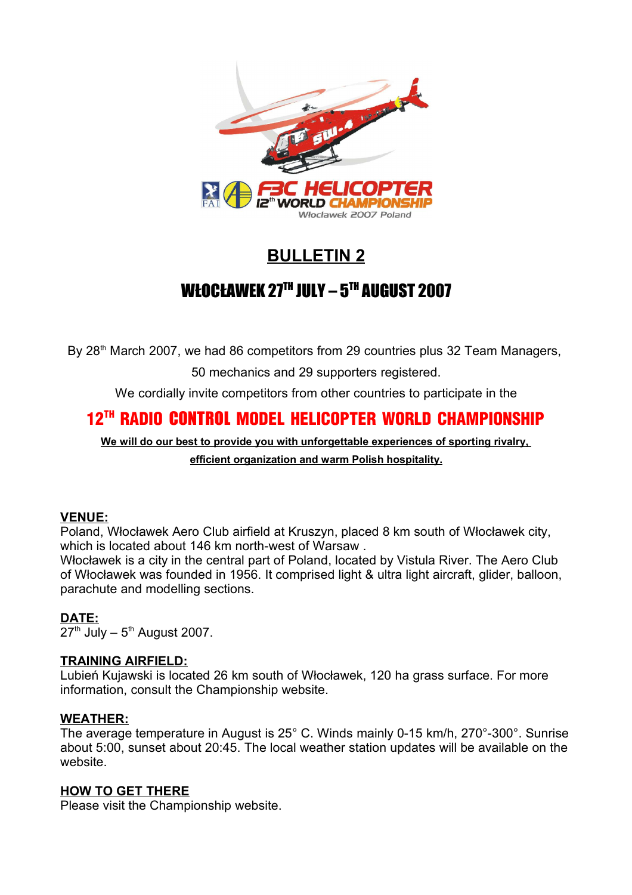

# **BULLETIN 2**

# WŁOCŁAWEK 27™ JULY – 5™ AUGUST 2007

By 28<sup>th</sup> March 2007, we had 86 competitors from 29 countries plus 32 Team Managers,

50 mechanics and 29 supporters registered.

We cordially invite competitors from other countries to participate in the

# 12TH RADIO CONTROL MODEL HELICOPTER WORLD CHAMPIONSHIP

**We will do our best to provide you with unforgettable experiences of sporting rivalry, efficient organization and warm Polish hospitality.**

# **VENUE:**

Poland, Włocławek Aero Club airfield at Kruszyn, placed 8 km south of Włocławek city, which is located about 146 km north-west of Warsaw .

Włocławek is a city in the central part of Poland, located by Vistula River. The Aero Club of Włocławek was founded in 1956. It comprised light & ultra light aircraft, glider, balloon, parachute and modelling sections.

# **DATE:**

 $27<sup>th</sup>$  July –  $5<sup>th</sup>$  August 2007.

# **TRAINING AIRFIELD:**

Lubień Kujawski is located 26 km south of Włocławek, 120 ha grass surface. For more information, consult the Championship website.

# **WEATHER:**

The average temperature in August is 25° C. Winds mainly 0-15 km/h, 270°-300°. Sunrise about 5:00, sunset about 20:45. The local weather station updates will be available on the website.

# **HOW TO GET THERE**

Please visit the Championship website.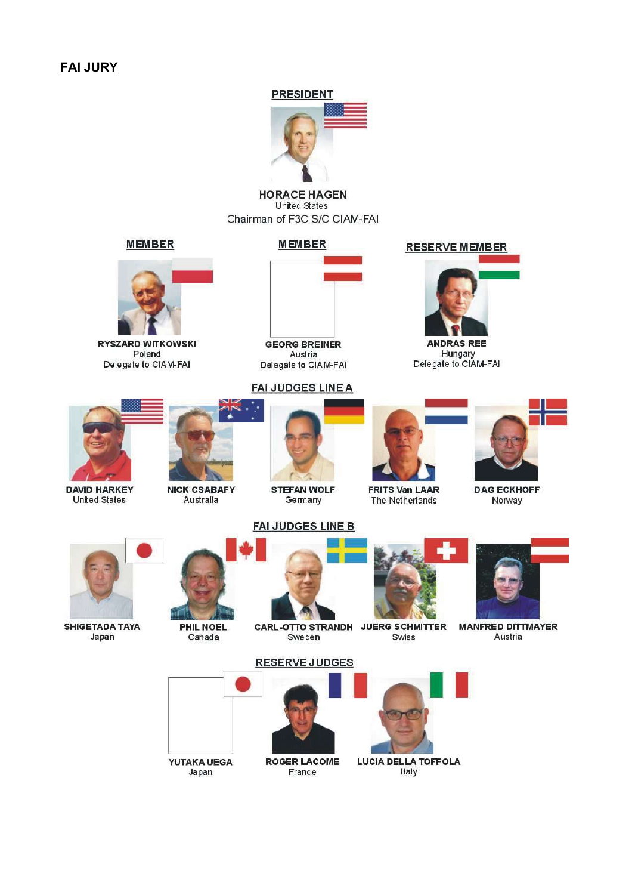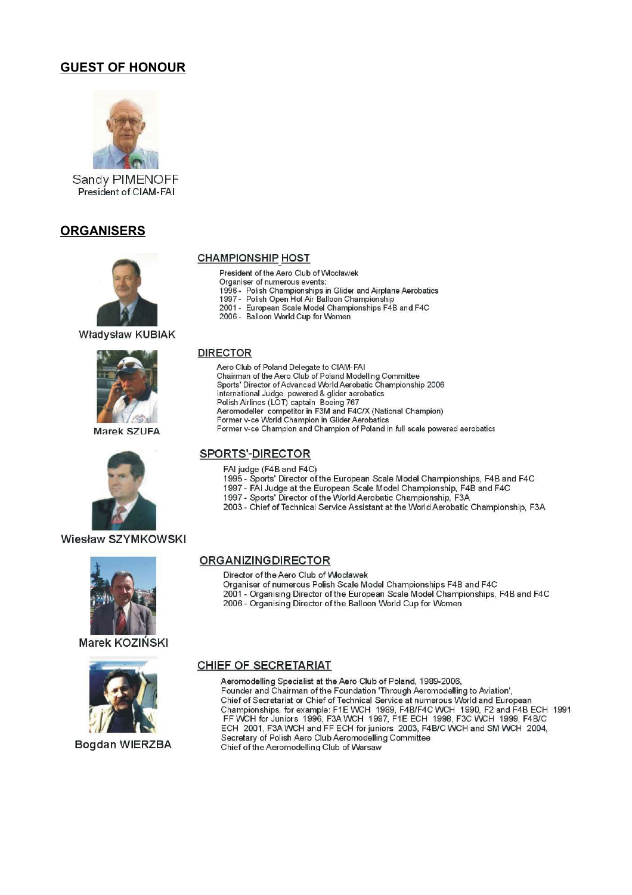# **GUEST OF HONOUR**



Sandy PIMENOFF President of CIAM-FAI

#### **ORGANISERS**



**Władvsław KUBIAK** 



**Marek SZUFA** 



#### Wiesław SZYMKOWSKI



Marek KOZIŃSKI



**Bogdan WIERZBA** 

#### **CHAMPIONSHIP HOST**

- President of the Aero Club of Włocławek
- Organiser of numerous events:
- Start and Chambre as events.<br>1996 Polish Championships in Glider and Airplane Aerobatics<br>1997 Polish Open Hot Air Balloon Championship
- 
- 2001 European Scale Model Championships F4B and F4C
- 2006 Balloon World Cup for Women

#### **DIRECTOR**

- Aero Club of Poland Delegate to CIAM-FAI
	- Chairman of the Aero Club of Poland Modelling Committee
	- Sports' Director of Advanced World Aerobatic Championship 2006
	- International Judge powered & glider aerobatics
	- Polish Airlines (LOT) captain Boeing 767
	- Aeromodeller competitor in F3M and F4C/X (National Champion)
	- Former v-ce World Champion in Glider Aerobatics
	- Former v-ce Champion and Champion of Poland in full scale powered aerobatics

#### **SPORTS'-DIRECTOR**

- FAI judge (F4B and F4C)
- 1995 Sports' Director of the European Scale Model Championships, F4B and F4C<br>1995 Sports' Director of the European Scale Model Championship, F4B and F4C
	-
- 1997 Sports' Director of the World Aerobatic Championship, F3A
- 2003 Chief of Technical Service Assistant at the World Aerobatic Championship, F3A

#### **ORGANIZINGDIRECTOR**

Director of the Aero Club of Włocławek Organiser of numerous Polish Scale Model Championships F4B and F4C 2001 - Organising Director of the European Scale Model Championships, F4B and F4C 2006 - Organising Director of the Balloon World Cup for Women

#### **CHIEF OF SECRETARIAT**

Aeromodelling Specialist at the Aero Club of Poland, 1989-2006, Founder and Chairman of the Foundation 'Through Aeromodelling to Aviation', Chief of Secretariat or Chief of Technical Service at numerous World and European<br>Championships, for example: F1E WCH 1989, F4B/F4C WCH 1990, F2 and F4B ECH 1991,<br>FF WCH for Juniors 1996, F3A WCH 1997, F1E ECH 1998, F3C WC ECH 2001, F3A WCH and FF ECH for juniors 2003, F4B/C WCH and SM WCH 2004, Secretary of Polish Aero Club Aeromodelling Committee Chief of the Aeromodelling Club of Warsaw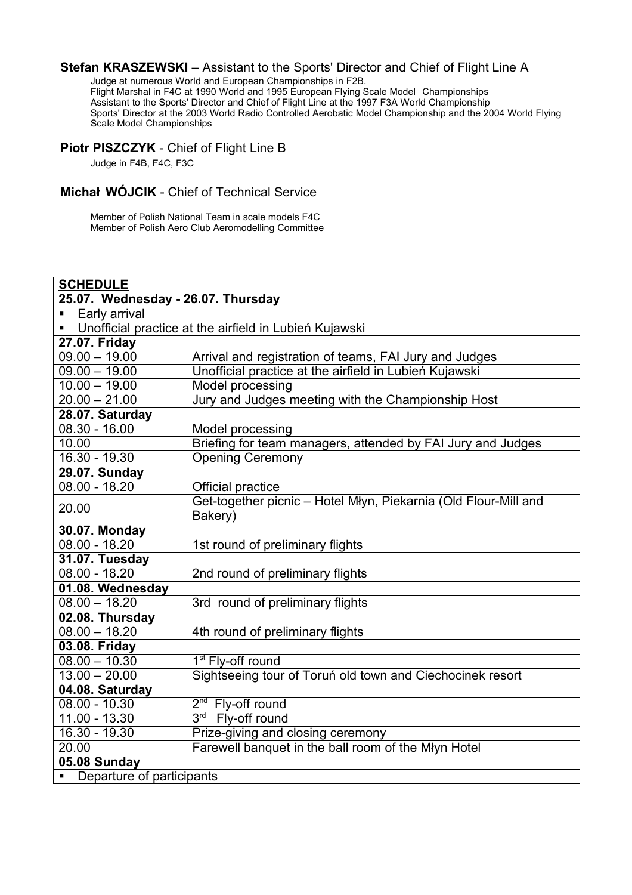#### **Stefan KRASZEWSKI** – Assistant to the Sports' Director and Chief of Flight Line A

Judge at numerous World and European Championships in F2B. Flight Marshal in F4C at 1990 World and 1995 European Flying Scale Model Championships Assistant to the Sports' Director and Chief of Flight Line at the 1997 F3A World Championship Sports' Director at the 2003 World Radio Controlled Aerobatic Model Championship and the 2004 World Flying Scale Model Championships

#### **Piotr PISZCZYK** - Chief of Flight Line B

Judge in F4B, F4C, F3C

#### **Michał WÓJCIK** - Chief of Technical Service

Member of Polish National Team in scale models F4C Member of Polish Aero Club Aeromodelling Committee

| <b>SCHEDULE</b>                             |                                                                 |  |  |
|---------------------------------------------|-----------------------------------------------------------------|--|--|
| 25.07. Wednesday - 26.07. Thursday          |                                                                 |  |  |
| Early arrival                               |                                                                 |  |  |
| п                                           | Unofficial practice at the airfield in Lubień Kujawski          |  |  |
| 27.07. Friday                               |                                                                 |  |  |
| $09.00 - 19.00$                             | Arrival and registration of teams, FAI Jury and Judges          |  |  |
| $09.00 - 19.00$                             | Unofficial practice at the airfield in Lubień Kujawski          |  |  |
| $10.00 - 19.00$                             | Model processing                                                |  |  |
| $20.00 - 21.00$                             | Jury and Judges meeting with the Championship Host              |  |  |
| 28.07. Saturday                             |                                                                 |  |  |
| $08.30 - 16.00$                             | Model processing                                                |  |  |
| 10.00                                       | Briefing for team managers, attended by FAI Jury and Judges     |  |  |
| 16.30 - 19.30                               | <b>Opening Ceremony</b>                                         |  |  |
| 29.07. Sunday                               |                                                                 |  |  |
| $08.00 - 18.20$                             | Official practice                                               |  |  |
| 20.00                                       | Get-together picnic - Hotel Młyn, Piekarnia (Old Flour-Mill and |  |  |
|                                             | Bakery)                                                         |  |  |
| 30.07. Monday                               |                                                                 |  |  |
| $08.00 - 18.20$                             | 1st round of preliminary flights                                |  |  |
| 31.07. Tuesday                              |                                                                 |  |  |
| $08.00 - 18.20$                             | 2nd round of preliminary flights                                |  |  |
| 01.08. Wednesday                            |                                                                 |  |  |
| $08.00 - 18.20$                             | 3rd round of preliminary flights                                |  |  |
| 02.08. Thursday                             |                                                                 |  |  |
| $08.00 - 18.20$                             | 4th round of preliminary flights                                |  |  |
| 03.08. Friday                               |                                                                 |  |  |
| $08.00 - 10.30$                             | 1 <sup>st</sup> Fly-off round                                   |  |  |
| $13.00 - 20.00$                             | Sightseeing tour of Toruń old town and Ciechocinek resort       |  |  |
| 04.08. Saturday                             |                                                                 |  |  |
| 08.00 - 10.30                               | $2nd$ Fly-off round                                             |  |  |
| $11.00 - 13.30$                             | $3rd$ Fly-off round                                             |  |  |
| 16.30 - 19.30                               | Prize-giving and closing ceremony                               |  |  |
| 20.00                                       | Farewell banquet in the ball room of the Młyn Hotel             |  |  |
| 05.08 Sunday                                |                                                                 |  |  |
| Departure of participants<br>$\blacksquare$ |                                                                 |  |  |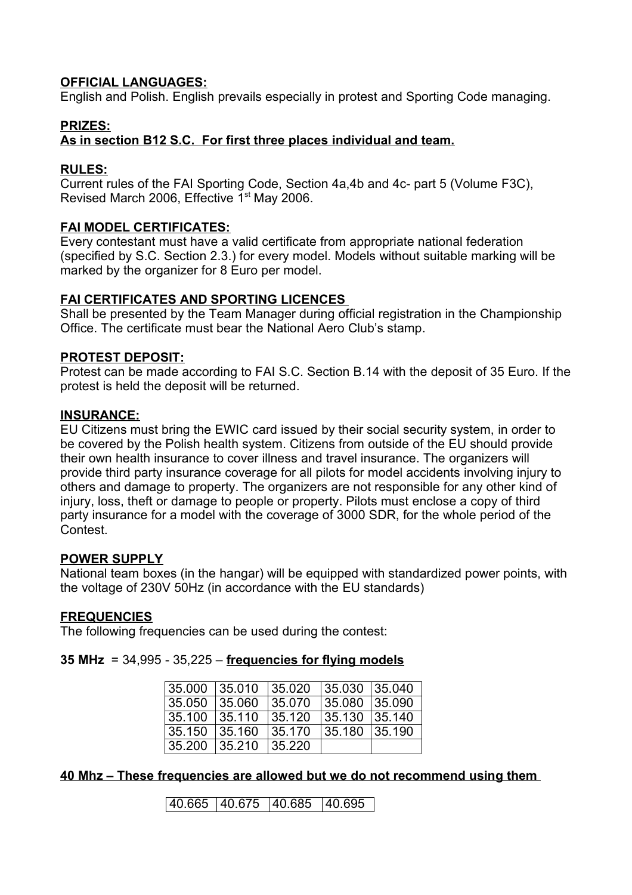# **OFFICIAL LANGUAGES:**

English and Polish. English prevails especially in protest and Sporting Code managing.

## **PRIZES:**

# **As in section B12 S.C. For first three places individual and team.**

#### **RULES:**

Current rules of the FAI Sporting Code, Section 4a,4b and 4c- part 5 (Volume F3C), Revised March 2006, Effective 1<sup>st</sup> May 2006.

### **FAI MODEL CERTIFICATES:**

Every contestant must have a valid certificate from appropriate national federation (specified by S.C. Section 2.3.) for every model. Models without suitable marking will be marked by the organizer for 8 Euro per model.

### **FAI CERTIFICATES AND SPORTING LICENCES**

Shall be presented by the Team Manager during official registration in the Championship Office. The certificate must bear the National Aero Club's stamp.

### **PROTEST DEPOSIT:**

Protest can be made according to FAI S.C. Section B.14 with the deposit of 35 Euro. If the protest is held the deposit will be returned.

#### **INSURANCE:**

EU Citizens must bring the EWIC card issued by their social security system, in order to be covered by the Polish health system. Citizens from outside of the EU should provide their own health insurance to cover illness and travel insurance. The organizers will provide third party insurance coverage for all pilots for model accidents involving injury to others and damage to property. The organizers are not responsible for any other kind of injury, loss, theft or damage to people or property. Pilots must enclose a copy of third party insurance for a model with the coverage of 3000 SDR, for the whole period of the Contest.

#### **POWER SUPPLY**

National team boxes (in the hangar) will be equipped with standardized power points, with the voltage of 230V 50Hz (in accordance with the EU standards)

#### **FREQUENCIES**

The following frequencies can be used during the contest:

#### **35 MHz** = 34,995 - 35,225 – **frequencies for flying models**

| 35.000 | 35.010 | 35 020 | 35.030   35.040 |         |
|--------|--------|--------|-----------------|---------|
| 35.050 | 35 060 | 35.070 | 35.080          | 135.090 |
| 35.100 | 35.110 | 35.120 | 35.130   35.140 |         |
| 35.150 | 35.160 | 35.170 | 35.180   35.190 |         |
| 35.200 | 35.210 | 35.220 |                 |         |

**40 Mhz – These frequencies are allowed but we do not recommend using them**

40.665 40.675 40.685 40.695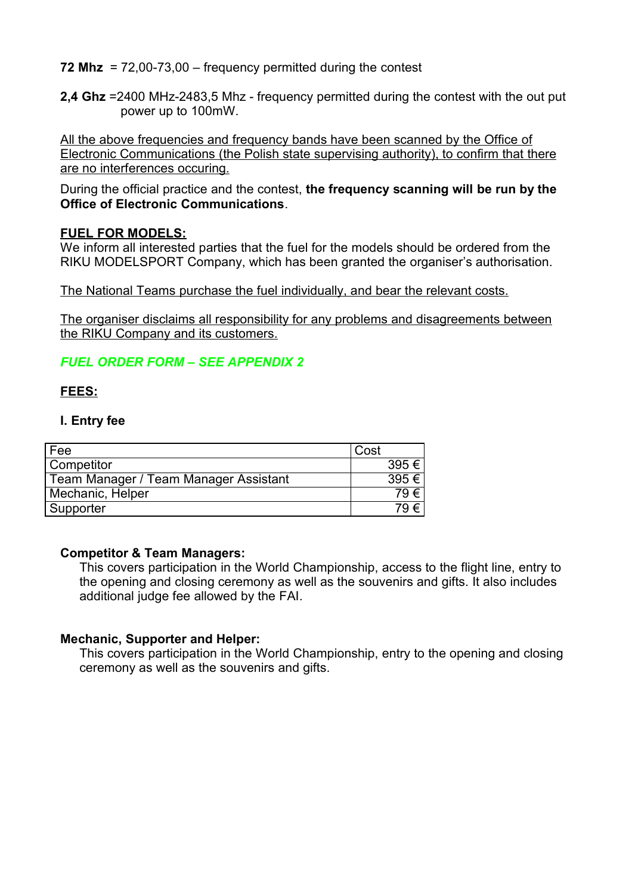**72 Mhz** = 72,00-73,00 – frequency permitted during the contest

**2,4 Ghz** =2400 MHz-2483,5 Mhz - frequency permitted during the contest with the out put power up to 100mW.

All the above frequencies and frequency bands have been scanned by the Office of Electronic Communications (the Polish state supervising authority), to confirm that there are no interferences occuring.

During the official practice and the contest, **the frequency scanning will be run by the Office of Electronic Communications**.

# **FUEL FOR MODELS:**

We inform all interested parties that the fuel for the models should be ordered from the RIKU MODELSPORT Company, which has been granted the organiser's authorisation.

The National Teams purchase the fuel individually, and bear the relevant costs.

The organiser disclaims all responsibility for any problems and disagreements between the RIKU Company and its customers.

# *FUEL ORDER FORM – SEE APPENDIX 2*

### **FEES:**

### **I. Entry fee**

| Fee                                   | Cost |      |
|---------------------------------------|------|------|
| <b>Competitor</b>                     |      | 395€ |
| Team Manager / Team Manager Assistant |      | 395€ |
| Mechanic, Helper                      |      | 79€  |
| Supporter                             |      | 79€  |

# **Competitor & Team Managers:**

This covers participation in the World Championship, access to the flight line, entry to the opening and closing ceremony as well as the souvenirs and gifts. It also includes additional judge fee allowed by the FAI.

# **Mechanic, Supporter and Helper:**

This covers participation in the World Championship, entry to the opening and closing ceremony as well as the souvenirs and gifts.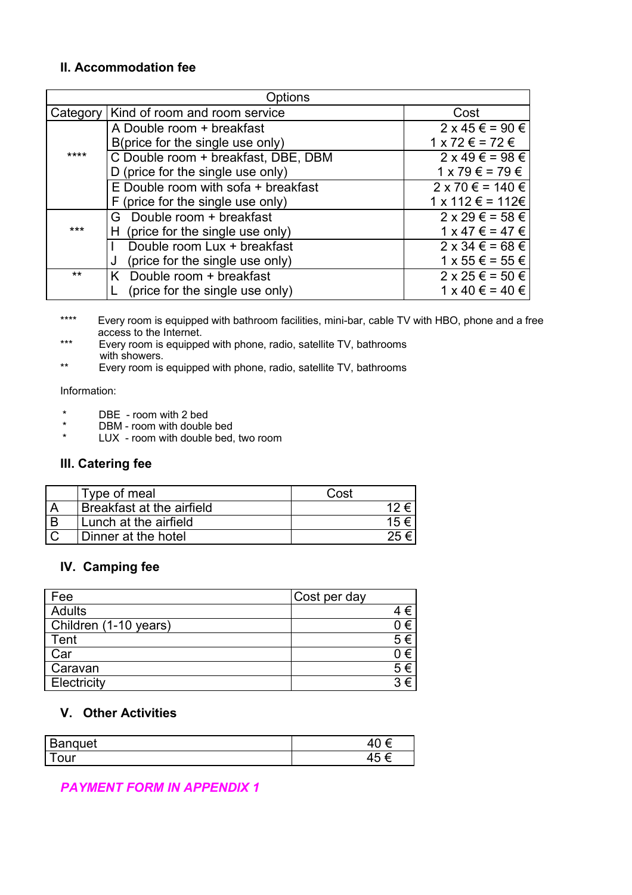# **II. Accommodation fee**

|          | Dptions                             |                            |
|----------|-------------------------------------|----------------------------|
| Category | Kind of room and room service       | Cost                       |
|          | A Double room + breakfast           | $2 \times 45 \in 90 \in$   |
|          | B(price for the single use only)    | $1 \times 72 \in 72 \in$   |
| ****     | C Double room + breakfast, DBE, DBM | $2 \times 49 \in 98 \in$   |
|          | D (price for the single use only)   | $1 \times 79 \in 79 \in$   |
|          | E Double room with sofa + breakfast | $2 \times 70 \in 140 \in$  |
|          | F (price for the single use only)   | $1 \times 112 \in 112 \in$ |
|          | Double room + breakfast<br>G.       | $2 \times 29 \in 58 \in$   |
| ***      | (price for the single use only)     | $1 \times 47 \in 47 \in$   |
|          | Double room Lux + breakfast         | $2 \times 34 \in 68 \in$   |
|          | (price for the single use only)     | $1 \times 55 \in 55 \in$   |
| $**$     | K Double room + breakfast           | $2 \times 25 \in 50 \in$   |
|          | (price for the single use only)     | $1 \times 40 \in 40 \in$   |

\*\*\*\* Every room is equipped with bathroom facilities, mini-bar, cable TV with HBO, phone and a free access to the Internet.

- \*\*\* Every room is equipped with phone, radio, satellite TV, bathrooms with showers.<br>\*\* Fyery room is
- Every room is equipped with phone, radio, satellite TV, bathrooms

Information:

- \* DBE room with 2 bed<br>\* DBM room with double
- \* DBM room with double bed<br>\* UUY room with double bed
- LUX room with double bed, two room

# **III. Catering fee**

|        | Type of meal              | Cost |
|--------|---------------------------|------|
|        | Breakfast at the airfield | 10.  |
| B      | Lunch at the airfield     | 15€  |
| $\cap$ | Dinner at the hotel       |      |

# **IV. Camping fee**

| Fee                   | Cost per day |
|-----------------------|--------------|
| Adults                | €            |
| Children (1-10 years) | 0€           |
| Tent                  | 5€           |
| Car                   | 0€           |
| Caravan               | 5€           |
| Electricity           | $3 \in$      |

# **V. Other Activities**

| ∍<br>quet<br>Ron<br>pung | -<br>T 1.<br>∼                                                       |
|--------------------------|----------------------------------------------------------------------|
| our                      | $\overline{\phantom{0}}$<br>$\overline{\phantom{0}}$<br>∽<br>ru<br>∼ |

*PAYMENT FORM IN APPENDIX 1*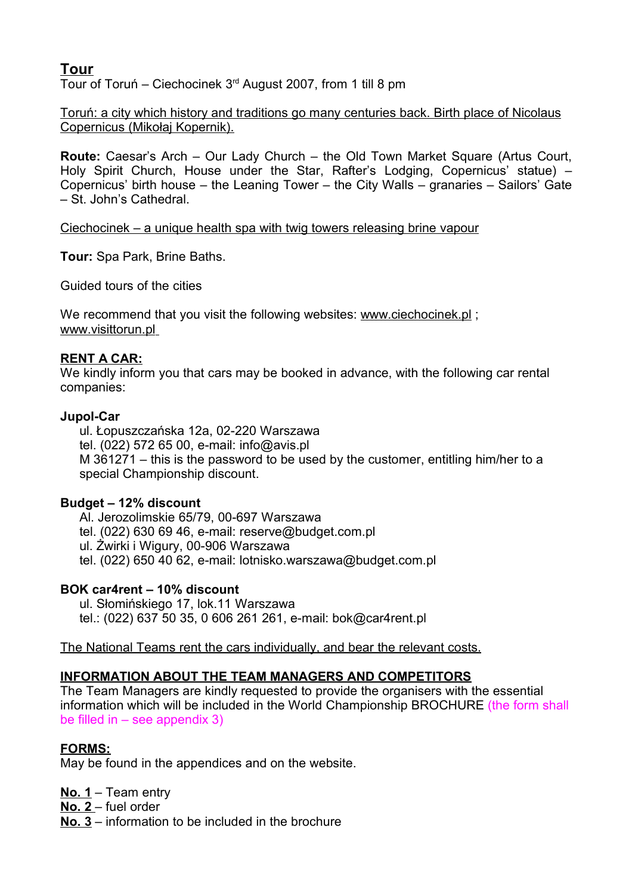# **Tour**

Tour of Toruń – Ciechocinek 3<sup>rd</sup> August 2007, from 1 till 8 pm

Toruń: a city which history and traditions go many centuries back. Birth place of Nicolaus Copernicus (Mikołaj Kopernik).

**Route:** Caesar's Arch – Our Lady Church – the Old Town Market Square (Artus Court, Holy Spirit Church, House under the Star, Rafter's Lodging, Copernicus' statue) – Copernicus' birth house – the Leaning Tower – the City Walls – granaries – Sailors' Gate – St. John's Cathedral.

Ciechocinek – a unique health spa with twig towers releasing brine vapour

**Tour:** Spa Park, Brine Baths.

Guided tours of the cities

We recommend that you visit the following websites: www.ciechocinek.pl; www.visittorun.pl

# **RENT A CAR:**

We kindly inform you that cars may be booked in advance, with the following car rental companies:

# **Jupol-Car**

ul. Łopuszczańska 12a, 02-220 Warszawa tel. (022) 572 65 00, e-mail: info@avis.pl M 361271 – this is the password to be used by the customer, entitling him/her to a special Championship discount.

# **Budget – 12% discount**

Al. Jerozolimskie 65/79, 00-697 Warszawa tel. (022) 630 69 46, e-mail: reserve@budget.com.pl ul. Żwirki i Wigury, 00-906 Warszawa tel. (022) 650 40 62, e-mail: lotnisko.warszawa@budget.com.pl

# **BOK car4rent – 10% discount**

ul. Słomińskiego 17, lok.11 Warszawa tel.: (022) 637 50 35, 0 606 261 261, e-mail: bok@car4rent.pl

The National Teams rent the cars individually, and bear the relevant costs.

# **INFORMATION ABOUT THE TEAM MANAGERS AND COMPETITORS**

The Team Managers are kindly requested to provide the organisers with the essential information which will be included in the World Championship BROCHURE (the form shall be filled in – see appendix 3)

# **FORMS:**

May be found in the appendices and on the website.

**No. 1** – Team entry

**No. 2** – fuel order

**No. 3** – information to be included in the brochure